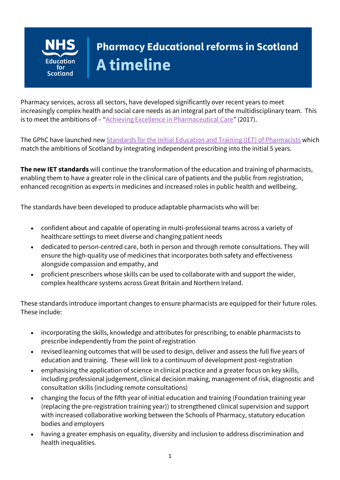

# **Pharmacy Educational reforms in Scotland A timeline**

Pharmacy services, across all sectors, have developed significantly over recent years to meet increasingly complex health and social care needs as an integral part of the multidisciplinary team. This is to meet the ambitions of – "Achieving Excellence [in Pharmaceutical Care](https://www.gov.scot/binaries/content/documents/govscot/publications/strategy-plan/2017/08/achieving-excellence-pharmaceutical-care-strategy-scotland/documents/00523589-pdf/00523589-pdf/govscot%3Adocument/00523589.pdf)" (2017).

The GPhC have launched ne[w Standards for the Initial Education and Training \(IET\)](https://www.pharmacyregulation.org/sites/default/files/document/standards-for-the-initial-education-and-training-of-pharmacists-january-2021.pdf) of Pharmacists which match the ambitions of Scotland by integrating independent prescribing into the initial 5 years.

**The new IET standards** will continue the transformation of the education and training of pharmacists, enabling them to have a greater role in the clinical care of patients and the public from registration, enhanced recognition as experts in medicines and increased roles in public health and wellbeing.

The standards have been developed to produce adaptable pharmacists who will be:

- confident about and capable of operating in multi-professional teams across a variety of healthcare settings to meet diverse and changing patient needs
- dedicated to person-centred care, both in person and through remote consultations. They will ensure the high-quality use of medicines that incorporates both safety and effectiveness alongside compassion and empathy, and
- proficient prescribers whose skills can be used to collaborate with and support the wider, complex healthcare systems across Great Britain and Northern Ireland.

These standards introduce important changes to ensure pharmacists are equipped for their future roles. These include:

- incorporating the skills, knowledge and attributes for prescribing, to enable pharmacists to prescribe independently from the point of registration
- revised learning outcomes that will be used to design, deliver and assess the full five years of education and training. These will link to a continuum of development post-registration
- emphasising the application of science in clinical practice and a greater focus on key skills, including professional judgement, clinical decision making, management of risk, diagnostic and consultation skills (including remote consultations)
- changing the focus of the fifth year of initial education and training (Foundation training year (replacing the pre-registration training year)) to strengthened clinical supervision and support with increased collaborative working between the Schools of Pharmacy, statutory education bodies and employers
- having a greater emphasis on equality, diversity and inclusion to address discrimination and health inequalities.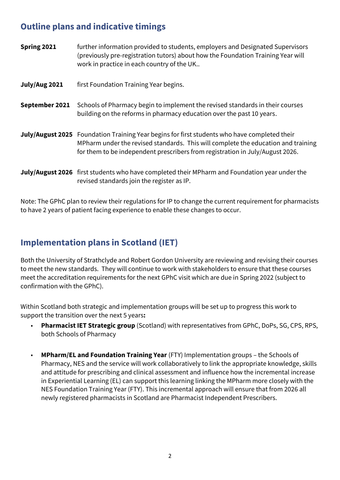#### **Outline plans and indicative timings**

- **Spring 2021** further information provided to students, employers and Designated Supervisors (previously pre-registration tutors) about how the Foundation Training Year will work in practice in each country of the UK..
- **July/Aug 2021** first Foundation Training Year begins.
- **September 2021** Schools of Pharmacy begin to implement the revised standards in their courses building on the reforms in pharmacy education over the past 10 years.
- **July/August 2025** Foundation Training Year begins for first students who have completed their MPharm under the revised standards. This will complete the education and training for them to be independent prescribers from registration in July/August 2026.
- **July/August 2026** first students who have completed their MPharm and Foundation year under the revised standards join the register as IP.

Note: The GPhC plan to review their regulations for IP to change the current requirement for pharmacists to have 2 years of patient facing experience to enable these changes to occur.

## **Implementation plans in Scotland (IET)**

Both the University of Strathclyde and Robert Gordon University are reviewing and revising their courses to meet the new standards. They will continue to work with stakeholders to ensure that these courses meet the accreditation requirements for the next GPhC visit which are due in Spring 2022 (subject to confirmation with the GPhC).

Within Scotland both strategic and implementation groups will be set up to progress this work to support the transition over the next 5 years**:**

- **Pharmacist IET Strategic group** (Scotland) with representatives from GPhC, DoPs, SG, CPS, RPS, both Schools of Pharmacy
- **MPharm/EL and Foundation Training Year** (FTY) Implementation groups the Schools of Pharmacy, NES and the service will work collaboratively to link the appropriate knowledge, skills and attitude for prescribing and clinical assessment and influence how the incremental increase in Experiential Learning (EL) can support this learning linking the MPharm more closely with the NES Foundation Training Year (FTY). This incremental approach will ensure that from 2026 all newly registered pharmacists in Scotland are Pharmacist Independent Prescribers.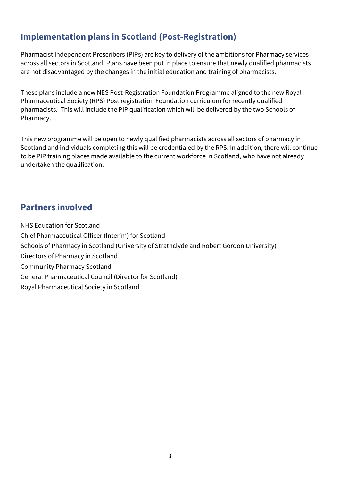## **Implementation plans in Scotland (Post-Registration)**

Pharmacist Independent Prescribers (PIPs) are key to delivery of the ambitions for Pharmacy services across all sectors in Scotland. Plans have been put in place to ensure that newly qualified pharmacists are not disadvantaged by the changes in the initial education and training of pharmacists.

These plans include a new NES Post-Registration Foundation Programme aligned to the new Royal Pharmaceutical Society (RPS) Post registration Foundation curriculum for recently qualified pharmacists. This will include the PIP qualification which will be delivered by the two Schools of Pharmacy.

This new programme will be open to newly qualified pharmacists across all sectors of pharmacy in Scotland and individuals completing this will be credentialed by the RPS. In addition, there will continue to be PIP training places made available to the current workforce in Scotland, who have not already undertaken the qualification.

#### **Partners involved**

NHS Education for Scotland Chief Pharmaceutical Officer (Interim) for Scotland Schools of Pharmacy in Scotland (University of Strathclyde and Robert Gordon University) Directors of Pharmacy in Scotland Community Pharmacy Scotland General Pharmaceutical Council (Director for Scotland) Royal Pharmaceutical Society in Scotland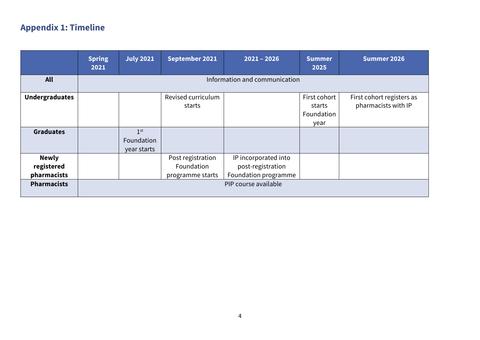# **Appendix 1: Timeline**

|                                                                 | <b>Spring</b><br>2021         | <b>July 2021</b>                             | September 2021                                      | $2021 - 2026$                                                                             | <b>Summer</b><br>2025                        | Summer 2026                                      |
|-----------------------------------------------------------------|-------------------------------|----------------------------------------------|-----------------------------------------------------|-------------------------------------------------------------------------------------------|----------------------------------------------|--------------------------------------------------|
| <b>All</b>                                                      | Information and communication |                                              |                                                     |                                                                                           |                                              |                                                  |
| <b>Undergraduates</b>                                           |                               |                                              | Revised curriculum<br>starts                        |                                                                                           | First cohort<br>starts<br>Foundation<br>year | First cohort registers as<br>pharmacists with IP |
| <b>Graduates</b>                                                |                               | 1 <sup>st</sup><br>Foundation<br>year starts |                                                     |                                                                                           |                                              |                                                  |
| <b>Newly</b><br>registered<br>pharmacists<br><b>Pharmacists</b> |                               |                                              | Post registration<br>Foundation<br>programme starts | IP incorporated into<br>post-registration<br>Foundation programme<br>PIP course available |                                              |                                                  |
|                                                                 |                               |                                              |                                                     |                                                                                           |                                              |                                                  |